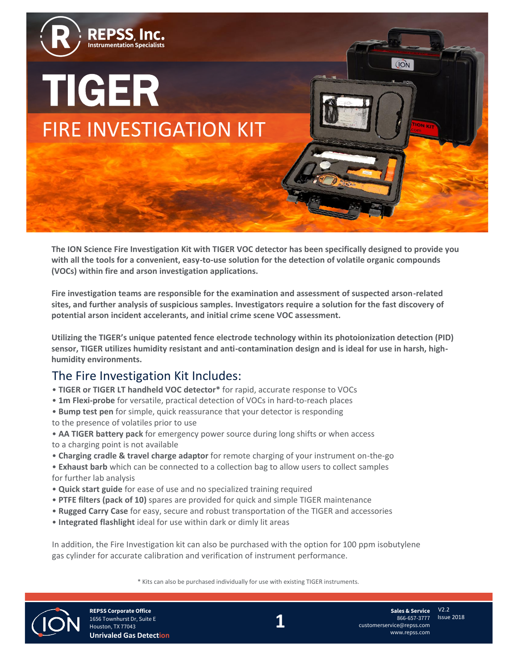

**The ION Science Fire Investigation Kit with TIGER VOC detector has been specifically designed to provide you with all the tools for a convenient, easy-to-use solution for the detection of volatile organic compounds (VOCs) within fire and arson investigation applications.** 

**Fire investigation teams are responsible for the examination and assessment of suspected arson-related sites, and further analysis of suspicious samples. Investigators require a solution for the fast discovery of potential arson incident accelerants, and initial crime scene VOC assessment.** 

**Utilizing the TIGER's unique patented fence electrode technology within its photoionization detection (PID) sensor, TIGER utilizes humidity resistant and anti-contamination design and is ideal for use in harsh, highhumidity environments.**

# The Fire Investigation Kit Includes:

- **TIGER or TIGER LT handheld VOC detector\*** for rapid, accurate response to VOCs
- **1m Flexi-probe** for versatile, practical detection of VOCs in hard-to-reach places
- **Bump test pen** for simple, quick reassurance that your detector is responding
- to the presence of volatiles prior to use
- **AA TIGER battery pack** for emergency power source during long shifts or when access to a charging point is not available
- **Charging cradle & travel charge adaptor** for remote charging of your instrument on-the-go
- **Exhaust barb** which can be connected to a collection bag to allow users to collect samples for further lab analysis
- **Quick start guide** for ease of use and no specialized training required
- **PTFE filters (pack of 10)** spares are provided for quick and simple TIGER maintenance
- **Rugged Carry Case** for easy, secure and robust transportation of the TIGER and accessories
- **Integrated flashlight** ideal for use within dark or dimly lit areas

In addition, the Fire Investigation kit can also be purchased with the option for 100 ppm isobutylene gas cylinder for accurate calibration and verification of instrument performance.

\* Kits can also be purchased individually for use with existing TIGER instruments.



**REPSS Corporate Office** 1656 Townhurst Dr, Suite E Houston, TX 77043 **Unrivaled Gas Detection** **1**

V2.2 Issue 2018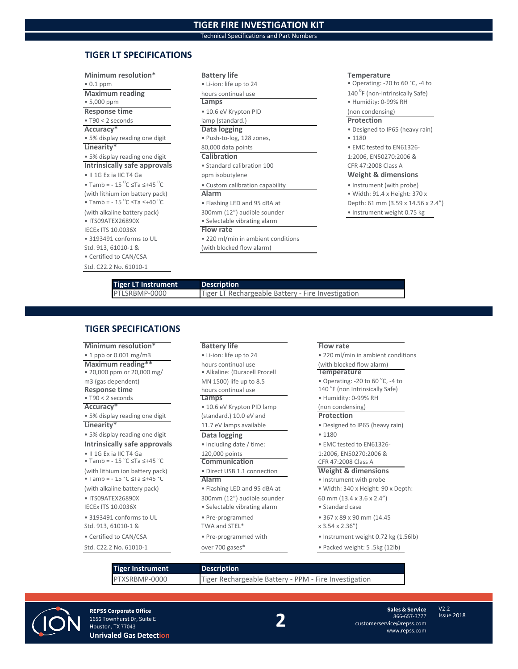## **TIGER FIRE INVESTIGATION KIT**

Technical Specifications and Part Numbers

### **TIGER LT SPECIFICATIONS**

### **Minimum resolution\* Battery life Temperature Temperature** • 0.1 ppm • Li-ion: life up to 24 • Operating: -20 to 60 °C, -4 to **Maximum reading** hours continual use • 5,000 ppm **Lamps** • Humidity: 0-99% RH **Response time •** 10.6 eV Krypton PID (non condensing) • T90 < 2 seconds lamp (standard.) **Protection Accuracy\* Data logging** • Designed to IP65 (heavy rain) • 5% display reading one digit • Push-to-log, 128 zones, • 1180 **Linearity\*** 80,000 data points **• EMC tested to EN61326** • 5% display reading one digit **Calibration** 1:2006, EN50270:2006 & **Intrinsically safe approvals** • Standard calibration 100 CFR 47:2008 Class A • II 1G Ex ia IIC T4 Ga ppm isobutylene **Weight & dimensions** • Tamb =  $-15 \degree C \leq Ta \leq +45 \degree$ (with lithium ion battery pack) **Alarm Alarm** • Width: 91.4 x Height: 370 x • Tamb =  $-15 °C \leq Ta \leq +40 °$ (with alkaline battery pack) 300mm (12") audible sounder • Instrument weight 0.75 kg • ITS09ATEX26890X • Selectable vibrating alarm IECEx ITS 10.0036X **Flow rate** • 3193491 conforms to UL • 220 ml/min in ambient conditions Std. 913, 61010-1 & (with blocked flow alarm) • Certified to CAN/CSA Std. C22.2 No. 61010-1

- 140<sup>°</sup>F (non-Intrinsically Safe)
- 

- Custom calibration capability Instrument (with probe)
- Flashing LED and 95 dBA at Depth: 61 mm (3.59 x 14.56 x 2.4")

# **Tiger LT Instrument Description**<br>**PTLSRBMP-0000 Tiger LT Rec**

Tiger LT Rechargeable Battery - Fire Investigation

### **TIGER SPECIFICATIONS**

**Minimum resolution\* Battery life Flow rate** • 1 ppb or 0.001 mg/m3 • Li-ion: life up to 24 • 220 ml/min in ambient conditions **Maximum reading\*\*** hours continual use (with blocked flow alarm)<br>
• 20,000 ppm or 20,000 mg/ • Alkaline: (Duracell Procell **Temperature** • 20,000 ppm or 20,000 mg/ m3 (gas dependent)  $MN 1500$  life up to 8.5  $\bullet$  Operating: -20 to 60  $\degree$ C, -4 to m3 (gas dependent) MN 1500) life up to 8.5<br> **Response time** hours continual use<br>
• T90 < 2 seconds **Lamps** Accuracy<sup>\*</sup> **•** 10.6 eV Krypton PID lamp (non condensing) • 5% display reading one digit (standard.) 10.0 eV and **Protection Linearity\*** 11.7 eV lamps available • Designed to IP65 (heavy rain) • 5% display reading one digit **Data logging** • 1180 **Intrinsically safe approvals** • Including date / time: • EMC tested to EN61326-• II 1G Ex ia IIC T4 Ga  $\overline{20,000}$  points 120,000 points 1:2006, EN50270:2006 &  $\overline{3,000}$  Tamb = - 15 °C  $\leq$  Ta  $\leq$  +45 °C  $\overline{3,000}$  Communication CFR 47:2008 Class A • Tamb =  $-15$  °C  $\le$ Ta  $\le +45$  ° (with lithium ion battery pack) • Direct USB 1.1 connection **Weight & dimensions** • Tamb =  $-15$  °C  $\le$ Ta  $\le +45$  ° (with alkaline battery pack) • Flashing LED and 95 dBA at • Width: 340 x Height: 90 x Depth: • ITS09ATEX26890X 300mm (12") audible sounder 60 mm (13.4 x 3.6 x 2.4") IECEx ITS 10.0036X • Selectable vibrating alarm • Standard case • 3193491 conforms to UL • Pre-programmed • 367 x 89 x 90 mm (14.45 Std. 913, 61010-1 & TWA and STEL\* x 3.54 x 2.36") Std. C22.2 No. 61010-1 over 700 gases\* • Packed weight: 5 .5kg (12lb)

- 
- 
- 
- 

- 
- 

- 
- 
- 
- 
- 
- 

- 
- 140 <sup>°</sup>F (non Intrinsically Safe)

### **Lamps** • Humidity: 0-99% RH

- 
- -
- 

### C **Communication** CFR 47:2008 Class A

- Alarm Instrument with probe
	-
	-
	-
	-
	-
- Certified to CAN/CSA Pre-programmed with Instrument weight 0.72 kg (1.56lb)
	-

**Tiger Instrument Description**

PTXSRBMP-0000 Tiger Rechargeable Battery - PPM - Fire Investigation



**REPSS Corporate Office** 1656 Townhurst Dr, Suite E Houston, TX 77043 **Unrivaled Gas Detection** **2**

**Sales & Service** 866-657-3777 customerservice@repss.com www.repss.com

Issue 2018

V2.2